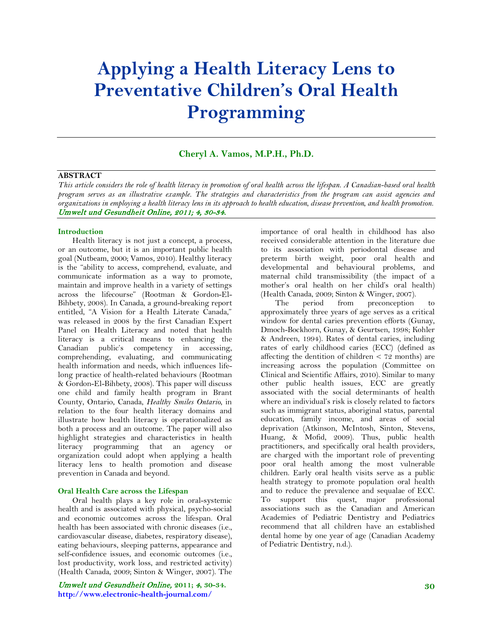# **Applying a Health Literacy Lens to Preventative Children's Oral Health Programming**

# **Cheryl A. Vamos, M.P.H., Ph.D.**

# **ABSTRACT**

*This article considers the role of health literacy in promotion of oral health across the lifespan. A Canadian-based oral health program serves as an illustrative example. The strategies and characteristics from the program can assist agencies and organizations in employing a health literacy lens in its approach to health education, disease prevention, and health promotion.* Umwelt und Gesundheit Online, 2011; 4, 30-34.

#### **Introduction**

Health literacy is not just a concept, a process, or an outcome, but it is an important public health goal (Nutbeam, 2000; Vamos, 2010). Healthy literacy is the "ability to access, comprehend, evaluate, and communicate information as a way to promote, maintain and improve health in a variety of settings across the lifecourse" (Rootman & Gordon-El-Bihbety, 2008). In Canada, a ground-breaking report entitled, "A Vision for a Health Literate Canada," was released in 2008 by the first Canadian Expert Panel on Health Literacy and noted that health literacy is a critical means to enhancing the Canadian public's competency in accessing, comprehending, evaluating, and communicating health information and needs, which influences lifelong practice of health-related behaviours (Rootman & Gordon-El-Bihbety, 2008). This paper will discuss one child and family health program in Brant County, Ontario, Canada, *Healthy Smiles Ontario*, in relation to the four health literacy domains and illustrate how health literacy is operationalized as both a process and an outcome. The paper will also highlight strategies and characteristics in health literacy programming that an agency or organization could adopt when applying a health literacy lens to health promotion and disease prevention in Canada and beyond.

#### **Oral Health Care across the Lifespan**

Oral health plays a key role in oral-systemic health and is associated with physical, psycho-social and economic outcomes across the lifespan. Oral health has been associated with chronic diseases (i.e., cardiovascular disease, diabetes, respiratory disease), eating behaviours, sleeping patterns, appearance and self-confidence issues, and economic outcomes (i.e., lost productivity, work loss, and restricted activity) (Health Canada, 2009; Sinton & Winger, 2007). The

Umwelt und Gesundheit Online, **2011;** 4**, 30-34. http://www.electronic-health-journal.com/**

importance of oral health in childhood has also received considerable attention in the literature due to its association with periodontal disease and preterm birth weight, poor oral health and developmental and behavioural problems, and maternal child transmissibility (the impact of a mother's oral health on her child's oral health) (Health Canada, 2009; Sinton & Winger, 2007).

The period from preconception to approximately three years of age serves as a critical window for dental caries prevention efforts (Gunay, Dmoch-Bockhorn, Gunay, & Geurtsen, 1998; Kohler & Andreen, 1994). Rates of dental caries, including rates of early childhood caries (ECC) (defined as affecting the dentition of children  $\lt$  72 months) are increasing across the population (Committee on Clinical and Scientific Affairs, 2010). Similar to many other public health issues, ECC are greatly associated with the social determinants of health where an individual's risk is closely related to factors such as immigrant status, aboriginal status, parental education, family income, and areas of social deprivation (Atkinson, McIntosh, Sinton, Stevens, Huang, & Mofid, 2009). Thus, public health practitioners, and specifically oral health providers, are charged with the important role of preventing poor oral health among the most vulnerable children. Early oral health visits serve as a public health strategy to promote population oral health and to reduce the prevalence and sequalae of ECC. To support this quest, major professional associations such as the Canadian and American Academies of Pediatric Dentistry and Pediatrics recommend that all children have an established dental home by one year of age (Canadian Academy of Pediatric Dentistry, n.d.).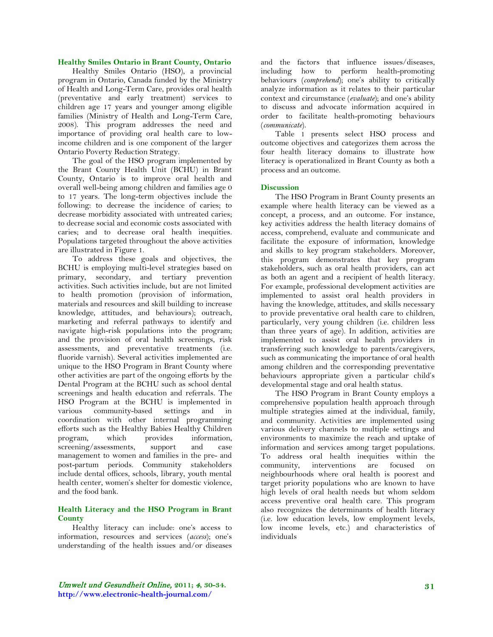### **Healthy Smiles Ontario in Brant County, Ontario**

Healthy Smiles Ontario (HSO), a provincial program in Ontario, Canada funded by the Ministry of Health and Long-Term Care, provides oral health (preventative and early treatment) services to children age 17 years and younger among eligible families (Ministry of Health and Long-Term Care, 2008). This program addresses the need and importance of providing oral health care to lowincome children and is one component of the larger Ontario Poverty Reduction Strategy.

The goal of the HSO program implemented by the Brant County Health Unit (BCHU) in Brant County, Ontario is to improve oral health and overall well-being among children and families age 0 to 17 years. The long-term objectives include the following: to decrease the incidence of caries; to decrease morbidity associated with untreated caries; to decrease social and economic costs associated with caries; and to decrease oral health inequities. Populations targeted throughout the above activities are illustrated in Figure 1.

To address these goals and objectives, the BCHU is employing multi-level strategies based on primary, secondary, and tertiary prevention activities. Such activities include, but are not limited to health promotion (provision of information, materials and resources and skill building to increase knowledge, attitudes, and behaviours); outreach, marketing and referral pathways to identify and navigate high-risk populations into the program; and the provision of oral health screenings, risk assessments, and preventative treatments (i.e. fluoride varnish). Several activities implemented are unique to the HSO Program in Brant County where other activities are part of the ongoing efforts by the Dental Program at the BCHU such as school dental screenings and health education and referrals. The HSO Program at the BCHU is implemented in various community-based settings and in coordination with other internal programming efforts such as the Healthy Babies Healthy Children program, which provides information, screening/assessments, support and case management to women and families in the pre- and post-partum periods. Community stakeholders include dental offices, schools, library, youth mental health center, women's shelter for domestic violence, and the food bank.

### **Health Literacy and the HSO Program in Brant County**

Healthy literacy can include: one's access to information, resources and services (*access*); one's understanding of the health issues and/or diseases and the factors that influence issues/diseases, including how to perform health-promoting behaviours (*comprehend*); one's ability to critically analyze information as it relates to their particular context and circumstance (*evaluate*); and one's ability to discuss and advocate information acquired in order to facilitate health-promoting behaviours (*communicate*).

Table 1 presents select HSO process and outcome objectives and categorizes them across the four health literacy domains to illustrate how literacy is operationalized in Brant County as both a process and an outcome.

#### **Discussion**

The HSO Program in Brant County presents an example where health literacy can be viewed as a concept, a process, and an outcome. For instance, key activities address the health literacy domains of access, comprehend, evaluate and communicate and facilitate the exposure of information, knowledge and skills to key program stakeholders. Moreover, this program demonstrates that key program stakeholders, such as oral health providers, can act as both an agent and a recipient of health literacy. For example, professional development activities are implemented to assist oral health providers in having the knowledge, attitudes, and skills necessary to provide preventative oral health care to children, particularly, very young children (i.e. children less than three years of age). In addition, activities are implemented to assist oral health providers in transferring such knowledge to parents/caregivers, such as communicating the importance of oral health among children and the corresponding preventative behaviours appropriate given a particular child's developmental stage and oral health status.

The HSO Program in Brant County employs a comprehensive population health approach through multiple strategies aimed at the individual, family, and community. Activities are implemented using various delivery channels to multiple settings and environments to maximize the reach and uptake of information and services among target populations. To address oral health inequities within the community, interventions are focused on neighbourhoods where oral health is poorest and target priority populations who are known to have high levels of oral health needs but whom seldom access preventive oral health care. This program also recognizes the determinants of health literacy (i.e. low education levels, low employment levels, low income levels, etc.) and characteristics of individuals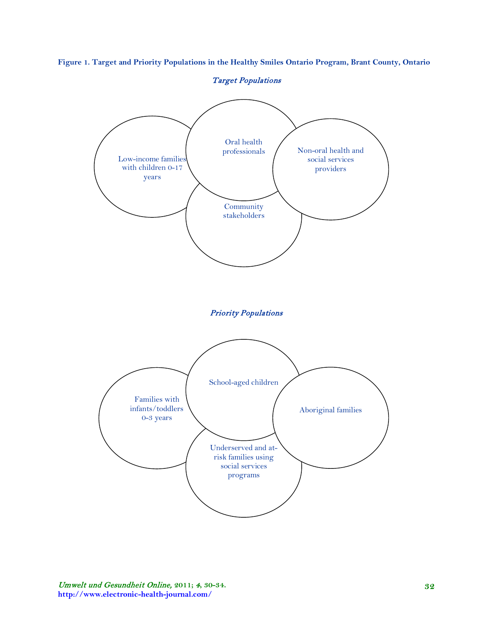**Figure 1. Target and Priority Populations in the Healthy Smiles Ontario Program, Brant County, Ontario**

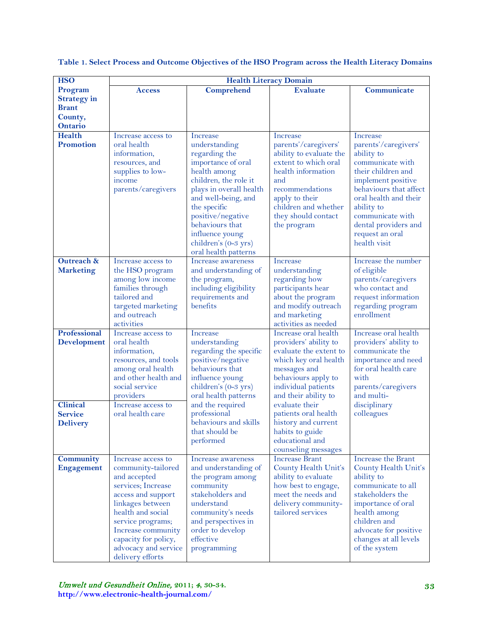| <b>HSO</b>                        | <b>Health Literacy Domain</b>            |                                              |                                                 |                                            |
|-----------------------------------|------------------------------------------|----------------------------------------------|-------------------------------------------------|--------------------------------------------|
| Program                           | <b>Access</b>                            | <b>Comprehend</b>                            | <b>Evaluate</b>                                 | Communicate                                |
| <b>Strategy</b> in                |                                          |                                              |                                                 |                                            |
| <b>Brant</b>                      |                                          |                                              |                                                 |                                            |
| County,                           |                                          |                                              |                                                 |                                            |
| <b>Ontario</b>                    |                                          |                                              |                                                 |                                            |
| <b>Health</b><br><b>Promotion</b> | Increase access to<br>oral health        | Increase                                     | Increase                                        | Increase                                   |
|                                   | information,                             | understanding<br>regarding the               | parents'/caregivers'<br>ability to evaluate the | parents'/caregivers'<br>ability to         |
|                                   | resources, and                           | importance of oral                           | extent to which oral                            | communicate with                           |
|                                   | supplies to low-                         | health among                                 | health information                              | their children and                         |
|                                   | income                                   | children, the role it                        | and                                             | implement positive                         |
|                                   | parents/caregivers                       | plays in overall health                      | recommendations                                 | behaviours that affect                     |
|                                   |                                          | and well-being, and                          | apply to their                                  | oral health and their                      |
|                                   |                                          | the specific                                 | children and whether                            | ability to                                 |
|                                   |                                          | positive/negative                            | they should contact                             | communicate with                           |
|                                   |                                          | behaviours that                              | the program                                     | dental providers and                       |
|                                   |                                          | influence young<br>children's (0-3 yrs)      |                                                 | request an oral<br>health visit            |
|                                   |                                          | oral health patterns                         |                                                 |                                            |
| Outreach &                        | Increase access to                       | Increase awareness                           | Increase                                        | Increase the number                        |
| <b>Marketing</b>                  | the HSO program                          | and understanding of                         | understanding                                   | of eligible                                |
|                                   | among low income                         | the program,                                 | regarding how                                   | parents/caregivers                         |
|                                   | families through                         | including eligibility                        | participants hear                               | who contact and                            |
|                                   | tailored and                             | requirements and                             | about the program                               | request information                        |
|                                   | targeted marketing<br>and outreach       | benefits                                     | and modify outreach<br>and marketing            | regarding program<br>enrollment            |
|                                   | activities                               |                                              | activities as needed                            |                                            |
| Professional                      | Increase access to                       | Increase                                     | Increase oral health                            | Increase oral health                       |
| <b>Development</b>                | oral health                              | understanding                                | providers' ability to                           | providers' ability to                      |
|                                   | information,                             | regarding the specific                       | evaluate the extent to                          | communicate the                            |
|                                   | resources, and tools                     | positive/negative                            | which key oral health                           | importance and need                        |
|                                   | among oral health                        | behaviours that                              | messages and                                    | for oral health care                       |
|                                   | and other health and<br>social service   | influence young                              | behaviours apply to                             | with                                       |
|                                   | providers                                | children's (0-3 yrs)<br>oral health patterns | individual patients<br>and their ability to     | parents/caregivers<br>and multi-           |
| <b>Clinical</b>                   | Increase access to                       | and the required                             | evaluate their                                  | disciplinary                               |
| <b>Service</b>                    | oral health care                         | professional                                 | patients oral health                            | colleagues                                 |
| <b>Delivery</b>                   |                                          | behaviours and skills                        | history and current                             |                                            |
|                                   |                                          | that should be                               | habits to guide                                 |                                            |
|                                   |                                          | performed                                    | educational and                                 |                                            |
|                                   |                                          |                                              | counseling messages                             |                                            |
| <b>Community</b>                  | Increase access to                       | Increase awareness                           | <b>Increase Brant</b><br>County Health Unit's   | Increase the Brant<br>County Health Unit's |
| <b>Engagement</b>                 | community-tailored<br>and accepted       | and understanding of<br>the program among    | ability to evaluate                             | ability to                                 |
|                                   | services; Increase                       | community                                    | how best to engage,                             | communicate to all                         |
|                                   | access and support                       | stakeholders and                             | meet the needs and                              | stakeholders the                           |
|                                   | linkages between                         | understand                                   | delivery community-                             | importance of oral                         |
|                                   | health and social                        | community's needs                            | tailored services                               | health among                               |
|                                   | service programs;                        | and perspectives in                          |                                                 | children and                               |
|                                   | Increase community                       | order to develop                             |                                                 | advocate for positive                      |
|                                   | capacity for policy,                     | effective                                    |                                                 | changes at all levels                      |
|                                   | advocacy and service<br>delivery efforts | programming                                  |                                                 | of the system                              |

# **Table 1. Select Process and Outcome Objectives of the HSO Program across the Health Literacy Domains**